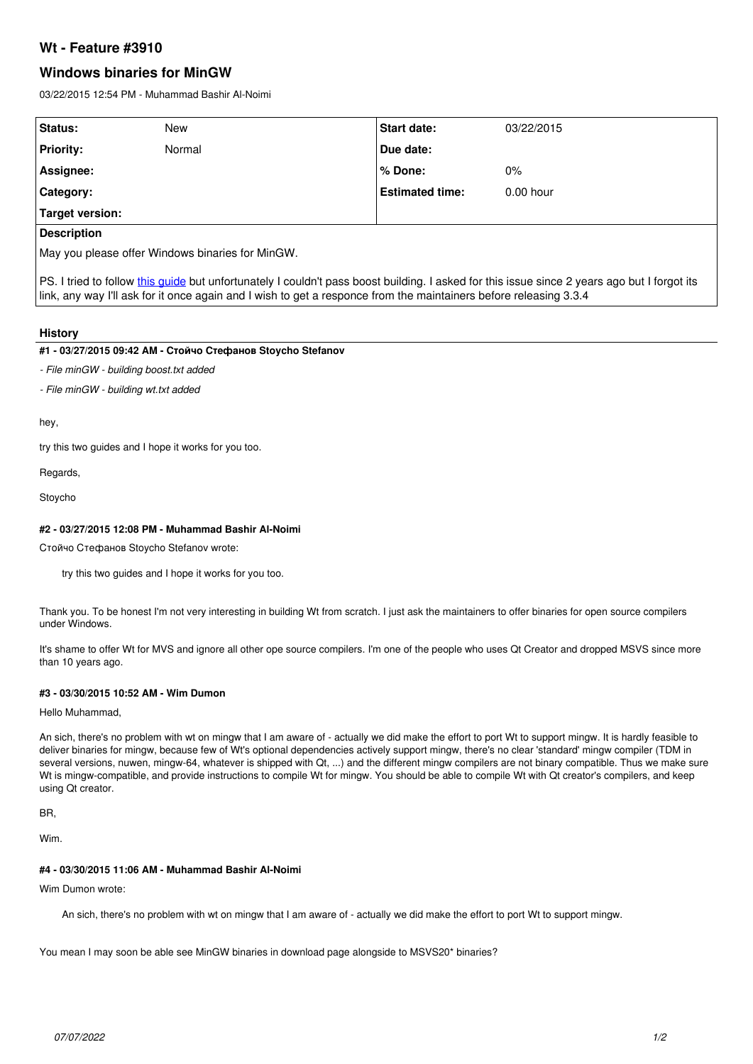## **Wt - Feature #3910**

# **Windows binaries for MinGW**

03/22/2015 12:54 PM - Muhammad Bashir Al-Noimi

| Status:            | <b>New</b> | <b>Start date:</b>     | 03/22/2015  |
|--------------------|------------|------------------------|-------------|
| <b>Priority:</b>   | Normal     | Due date:              |             |
| Assignee:          |            | l % Done:              | $0\%$       |
| <b>Category:</b>   |            | <b>Estimated time:</b> | $0.00$ hour |
| Target version:    |            |                        |             |
| <b>Description</b> |            |                        |             |

May you please offer Windows binaries for MinGW.

PS. I tried to follow this quide but unfortunately I couldn't pass boost building. I asked for this issue since 2 years ago but I forgot its link, any way I'll ask for it once again and I wish to get a responce from the maintainers before releasing 3.3.4

## **History**

#### **#1 - 03/27/2015 09:42 AM - Стойчо Стефанов Stoycho Stefanov**

*- File minGW - building boost.txt added*

*- File minGW - building wt.txt added*

hey,

try this two guides and I hope it works for you too.

Regards,

Stoycho

### **#2 - 03/27/2015 12:08 PM - Muhammad Bashir Al-Noimi**

Стойчо Стефанов Stoycho Stefanov wrote:

try this two guides and I hope it works for you too.

Thank you. To be honest I'm not very interesting in building Wt from scratch. I just ask the maintainers to offer binaries for open source compilers under Windows.

It's shame to offer Wt for MVS and ignore all other ope source compilers. I'm one of the people who uses Qt Creator and dropped MSVS since more than 10 years ago.

#### **#3 - 03/30/2015 10:52 AM - Wim Dumon**

Hello Muhammad,

An sich, there's no problem with wt on mingw that I am aware of - actually we did make the effort to port Wt to support mingw. It is hardly feasible to deliver binaries for mingw, because few of Wt's optional dependencies actively support mingw, there's no clear 'standard' mingw compiler (TDM in several versions, nuwen, mingw-64, whatever is shipped with Qt, ...) and the different mingw compilers are not binary compatible. Thus we make sure Wt is mingw-compatible, and provide instructions to compile Wt for mingw. You should be able to compile Wt with Qt creator's compilers, and keep using Qt creator.

B<sub>R</sub>

Wim.

#### **#4 - 03/30/2015 11:06 AM - Muhammad Bashir Al-Noimi**

Wim Dumon wrote:

An sich, there's no problem with wt on mingw that I am aware of - actually we did make the effort to port Wt to support mingw.

You mean I may soon be able see MinGW binaries in download page alongside to MSVS20\* binaries?